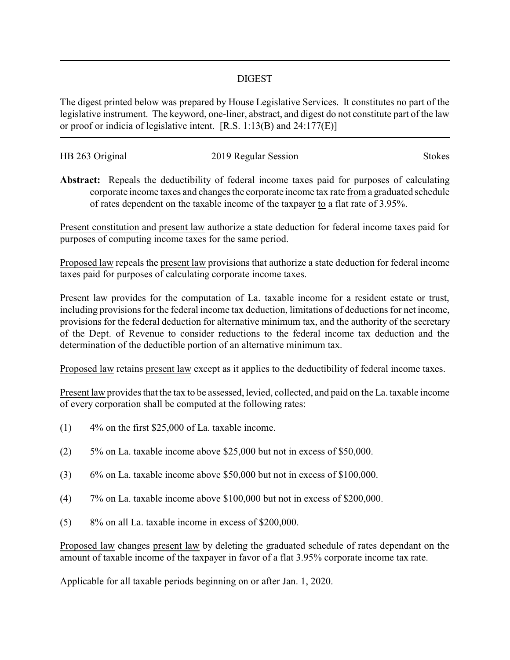## DIGEST

The digest printed below was prepared by House Legislative Services. It constitutes no part of the legislative instrument. The keyword, one-liner, abstract, and digest do not constitute part of the law or proof or indicia of legislative intent. [R.S. 1:13(B) and 24:177(E)]

| HB 263 Original | 2019 Regular Session | <b>Stokes</b> |
|-----------------|----------------------|---------------|
|                 |                      |               |

**Abstract:** Repeals the deductibility of federal income taxes paid for purposes of calculating corporate income taxes and changes the corporate income tax rate from a graduated schedule of rates dependent on the taxable income of the taxpayer to a flat rate of 3.95%.

Present constitution and present law authorize a state deduction for federal income taxes paid for purposes of computing income taxes for the same period.

Proposed law repeals the present law provisions that authorize a state deduction for federal income taxes paid for purposes of calculating corporate income taxes.

Present law provides for the computation of La. taxable income for a resident estate or trust, including provisions for the federal income tax deduction, limitations of deductions for net income, provisions for the federal deduction for alternative minimum tax, and the authority of the secretary of the Dept. of Revenue to consider reductions to the federal income tax deduction and the determination of the deductible portion of an alternative minimum tax.

Proposed law retains present law except as it applies to the deductibility of federal income taxes.

Present law provides that the tax to be assessed, levied, collected, and paid on the La. taxable income of every corporation shall be computed at the following rates:

- (1) 4% on the first \$25,000 of La. taxable income.
- (2) 5% on La. taxable income above \$25,000 but not in excess of \$50,000.
- (3) 6% on La. taxable income above \$50,000 but not in excess of \$100,000.
- (4) 7% on La. taxable income above \$100,000 but not in excess of \$200,000.
- (5) 8% on all La. taxable income in excess of \$200,000.

Proposed law changes present law by deleting the graduated schedule of rates dependant on the amount of taxable income of the taxpayer in favor of a flat 3.95% corporate income tax rate.

Applicable for all taxable periods beginning on or after Jan. 1, 2020.